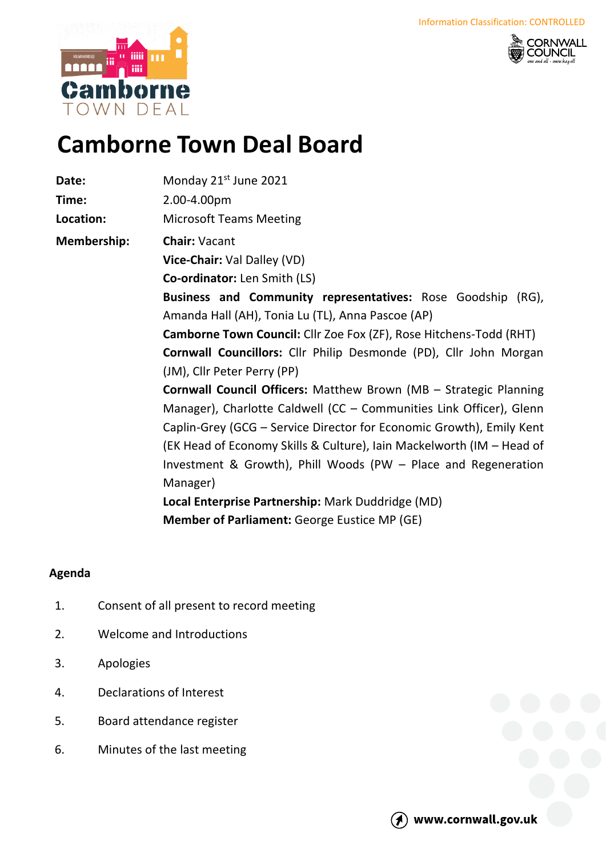



## **Camborne Town Deal Board**

| Date:              | Monday 21 <sup>st</sup> June 2021                                     |
|--------------------|-----------------------------------------------------------------------|
| Time:              | 2.00-4.00pm                                                           |
| Location:          | <b>Microsoft Teams Meeting</b>                                        |
| <b>Membership:</b> | <b>Chair: Vacant</b>                                                  |
|                    | Vice-Chair: Val Dalley (VD)                                           |
|                    | <b>Co-ordinator:</b> Len Smith (LS)                                   |
|                    | Business and Community representatives: Rose Goodship (RG),           |
|                    | Amanda Hall (AH), Tonia Lu (TL), Anna Pascoe (AP)                     |
|                    | Camborne Town Council: Cllr Zoe Fox (ZF), Rose Hitchens-Todd (RHT)    |
|                    | Cornwall Councillors: Cllr Philip Desmonde (PD), Cllr John Morgan     |
|                    | (JM), Cllr Peter Perry (PP)                                           |
|                    | Cornwall Council Officers: Matthew Brown (MB - Strategic Planning     |
|                    | Manager), Charlotte Caldwell (CC - Communities Link Officer), Glenn   |
|                    | Caplin-Grey (GCG – Service Director for Economic Growth), Emily Kent  |
|                    | (EK Head of Economy Skills & Culture), Iain Mackelworth (IM – Head of |
|                    | Investment & Growth), Phill Woods (PW - Place and Regeneration        |
|                    | Manager)                                                              |
|                    | Local Enterprise Partnership: Mark Duddridge (MD)                     |
|                    | <b>Member of Parliament: George Eustice MP (GE)</b>                   |

## **Agenda**

- 1. Consent of all present to record meeting
- 2. Welcome and Introductions
- 3. Apologies
- 4. Declarations of Interest
- 5. Board attendance register
- 6. Minutes of the last meeting